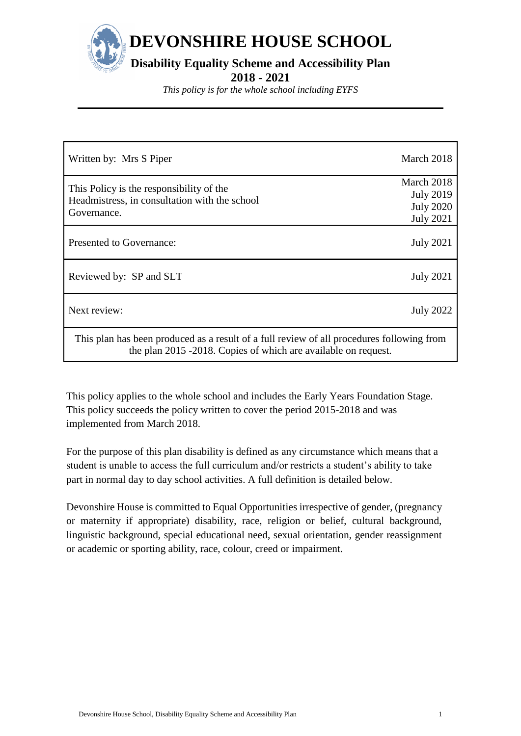

*This policy is for the whole school including EYFS*

| Written by: Mrs S Piper                                                                                                                                     | March 2018                                                             |  |  |  |
|-------------------------------------------------------------------------------------------------------------------------------------------------------------|------------------------------------------------------------------------|--|--|--|
| This Policy is the responsibility of the<br>Headmistress, in consultation with the school<br>Governance.                                                    | March 2018<br><b>July 2019</b><br><b>July 2020</b><br><b>July 2021</b> |  |  |  |
| Presented to Governance:                                                                                                                                    | <b>July 2021</b>                                                       |  |  |  |
| Reviewed by: SP and SLT                                                                                                                                     | <b>July 2021</b>                                                       |  |  |  |
| Next review:                                                                                                                                                | <b>July 2022</b>                                                       |  |  |  |
| This plan has been produced as a result of a full review of all procedures following from<br>the plan 2015 -2018. Copies of which are available on request. |                                                                        |  |  |  |

This policy applies to the whole school and includes the Early Years Foundation Stage. This policy succeeds the policy written to cover the period 2015-2018 and was implemented from March 2018.

For the purpose of this plan disability is defined as any circumstance which means that a student is unable to access the full curriculum and/or restricts a student's ability to take part in normal day to day school activities. A full definition is detailed below.

Devonshire House is committed to Equal Opportunities irrespective of gender, (pregnancy or maternity if appropriate) disability, race, religion or belief, cultural background, linguistic background, special educational need, sexual orientation, gender reassignment or academic or sporting ability, race, colour, creed or impairment.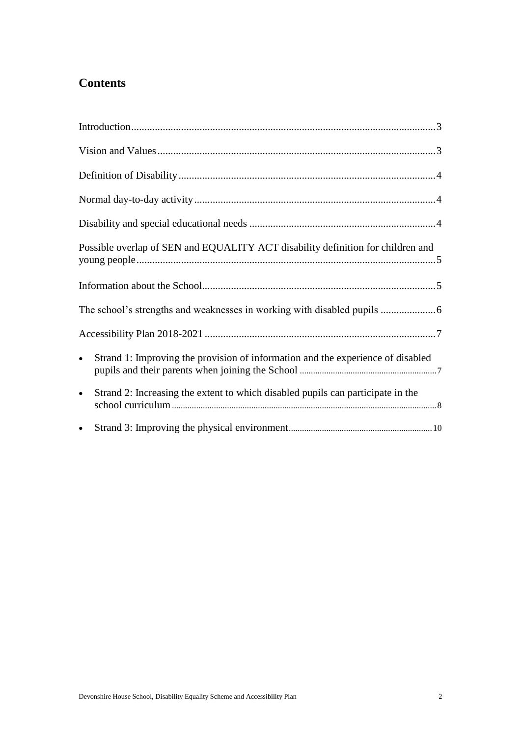# **Contents**

| Possible overlap of SEN and EQUALITY ACT disability definition for children and              |  |
|----------------------------------------------------------------------------------------------|--|
|                                                                                              |  |
|                                                                                              |  |
|                                                                                              |  |
| Strand 1: Improving the provision of information and the experience of disabled<br>$\bullet$ |  |
| Strand 2: Increasing the extent to which disabled pupils can participate in the<br>$\bullet$ |  |
| $\bullet$                                                                                    |  |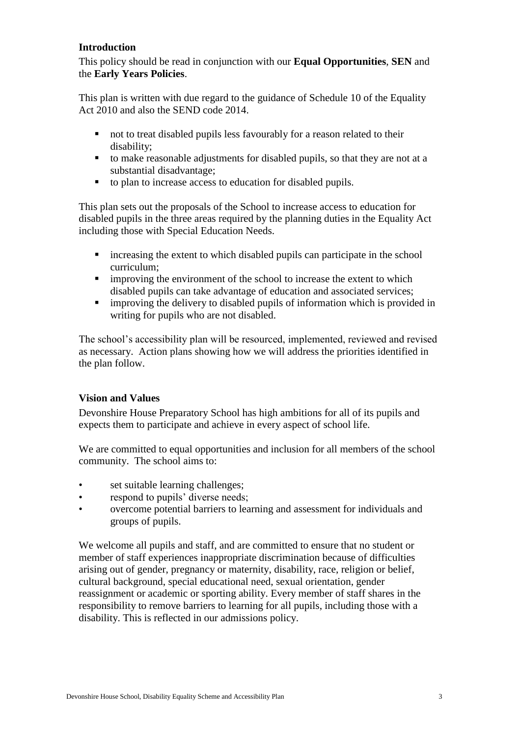## <span id="page-2-0"></span>**Introduction**

This policy should be read in conjunction with our **Equal Opportunities**, **SEN** and the **Early Years Policies**.

This plan is written with due regard to the guidance of Schedule 10 of the Equality Act 2010 and also the SEND code 2014.

- not to treat disabled pupils less favourably for a reason related to their disability;
- to make reasonable adjustments for disabled pupils, so that they are not at a substantial disadvantage;
- to plan to increase access to education for disabled pupils.

This plan sets out the proposals of the School to increase access to education for disabled pupils in the three areas required by the planning duties in the Equality Act including those with Special Education Needs.

- increasing the extent to which disabled pupils can participate in the school curriculum;
- **E** improving the environment of the school to increase the extent to which disabled pupils can take advantage of education and associated services;
- improving the delivery to disabled pupils of information which is provided in writing for pupils who are not disabled.

The school's accessibility plan will be resourced, implemented, reviewed and revised as necessary. Action plans showing how we will address the priorities identified in the plan follow.

#### <span id="page-2-1"></span>**Vision and Values**

Devonshire House Preparatory School has high ambitions for all of its pupils and expects them to participate and achieve in every aspect of school life.

We are committed to equal opportunities and inclusion for all members of the school community. The school aims to:

- set suitable learning challenges:
- respond to pupils' diverse needs;
- overcome potential barriers to learning and assessment for individuals and groups of pupils.

We welcome all pupils and staff, and are committed to ensure that no student or member of staff experiences inappropriate discrimination because of difficulties arising out of gender, pregnancy or maternity, disability, race, religion or belief, cultural background, special educational need, sexual orientation, gender reassignment or academic or sporting ability. Every member of staff shares in the responsibility to remove barriers to learning for all pupils, including those with a disability. This is reflected in our admissions policy.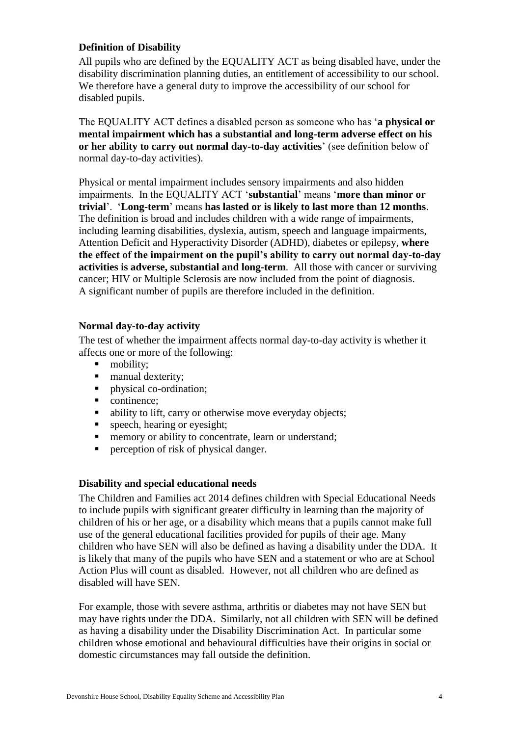## <span id="page-3-0"></span>**Definition of Disability**

All pupils who are defined by the EQUALITY ACT as being disabled have, under the disability discrimination planning duties, an entitlement of accessibility to our school. We therefore have a general duty to improve the accessibility of our school for disabled pupils.

The EQUALITY ACT defines a disabled person as someone who has '**a physical or mental impairment which has a substantial and long-term adverse effect on his or her ability to carry out normal day-to-day activities**' (see definition below of normal day-to-day activities).

Physical or mental impairment includes sensory impairments and also hidden impairments. In the EQUALITY ACT '**substantial**' means '**more than minor or trivial**'. '**Long-term**' means **has lasted or is likely to last more than 12 months**. The definition is broad and includes children with a wide range of impairments, including learning disabilities, dyslexia, autism, speech and language impairments, Attention Deficit and Hyperactivity Disorder (ADHD), diabetes or epilepsy, **where the effect of the impairment on the pupil's ability to carry out normal day-to-day activities is adverse, substantial and long-term**. All those with cancer or surviving cancer; HIV or Multiple Sclerosis are now included from the point of diagnosis. A significant number of pupils are therefore included in the definition.

#### <span id="page-3-1"></span>**Normal day-to-day activity**

The test of whether the impairment affects normal day-to-day activity is whether it affects one or more of the following:

- mobility:
- manual dexterity;<br>• nhysical co-ordina
- physical co-ordination;
- continence:
- ability to lift, carry or otherwise move everyday objects;
- **speech, hearing or eyesight;**
- **n** memory or ability to concentrate, learn or understand;
- **Perception of risk of physical danger.**

#### <span id="page-3-2"></span>**Disability and special educational needs**

The Children and Families act 2014 defines children with Special Educational Needs to include pupils with significant greater difficulty in learning than the majority of children of his or her age, or a disability which means that a pupils cannot make full use of the general educational facilities provided for pupils of their age. Many children who have SEN will also be defined as having a disability under the DDA. It is likely that many of the pupils who have SEN and a statement or who are at School Action Plus will count as disabled. However, not all children who are defined as disabled will have SEN.

For example, those with severe asthma, arthritis or diabetes may not have SEN but may have rights under the DDA. Similarly, not all children with SEN will be defined as having a disability under the Disability Discrimination Act. In particular some children whose emotional and behavioural difficulties have their origins in social or domestic circumstances may fall outside the definition.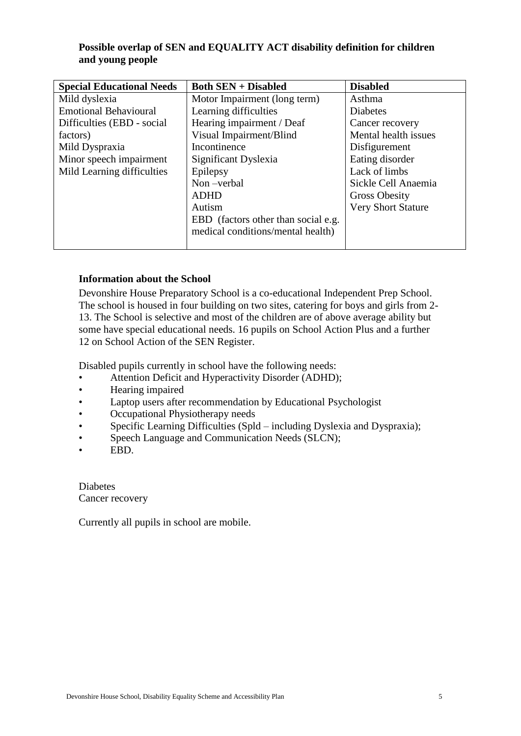## <span id="page-4-0"></span>**Possible overlap of SEN and EQUALITY ACT disability definition for children and young people**

| <b>Special Educational Needs</b> | <b>Both SEN + Disabled</b>          | <b>Disabled</b>           |
|----------------------------------|-------------------------------------|---------------------------|
| Mild dyslexia                    | Motor Impairment (long term)        | Asthma                    |
| <b>Emotional Behavioural</b>     | Learning difficulties               | <b>Diabetes</b>           |
| Difficulties (EBD - social       | Hearing impairment / Deaf           | Cancer recovery           |
| factors)                         | Visual Impairment/Blind             | Mental health issues      |
| Mild Dyspraxia                   | Incontinence                        | Disfigurement             |
| Minor speech impairment          | Significant Dyslexia                | Eating disorder           |
| Mild Learning difficulties       | Epilepsy                            | Lack of limbs             |
|                                  | Non-verbal                          | Sickle Cell Anaemia       |
|                                  | <b>ADHD</b>                         | <b>Gross Obesity</b>      |
|                                  | Autism                              | <b>Very Short Stature</b> |
|                                  | EBD (factors other than social e.g. |                           |
|                                  | medical conditions/mental health)   |                           |
|                                  |                                     |                           |

## <span id="page-4-1"></span>**Information about the School**

Devonshire House Preparatory School is a co-educational Independent Prep School. The school is housed in four building on two sites, catering for boys and girls from 2- 13. The School is selective and most of the children are of above average ability but some have special educational needs. 16 pupils on School Action Plus and a further 12 on School Action of the SEN Register.

Disabled pupils currently in school have the following needs:

- Attention Deficit and Hyperactivity Disorder (ADHD);
- Hearing impaired
- Laptop users after recommendation by Educational Psychologist
- Occupational Physiotherapy needs
- Specific Learning Difficulties (Spld including Dyslexia and Dyspraxia);
- Speech Language and Communication Needs (SLCN);
- EBD.

Diabetes Cancer recovery

Currently all pupils in school are mobile.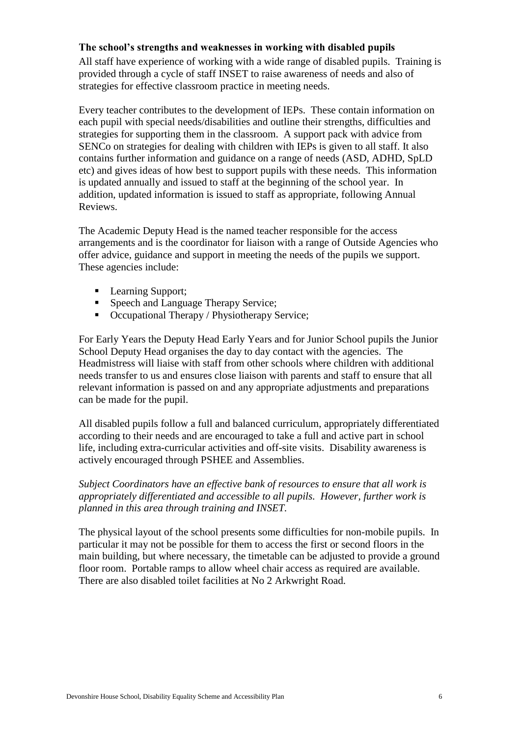#### <span id="page-5-0"></span>**The school's strengths and weaknesses in working with disabled pupils**

All staff have experience of working with a wide range of disabled pupils. Training is provided through a cycle of staff INSET to raise awareness of needs and also of strategies for effective classroom practice in meeting needs.

Every teacher contributes to the development of IEPs. These contain information on each pupil with special needs/disabilities and outline their strengths, difficulties and strategies for supporting them in the classroom. A support pack with advice from SENCo on strategies for dealing with children with IEPs is given to all staff. It also contains further information and guidance on a range of needs (ASD, ADHD, SpLD etc) and gives ideas of how best to support pupils with these needs. This information is updated annually and issued to staff at the beginning of the school year. In addition, updated information is issued to staff as appropriate, following Annual Reviews.

The Academic Deputy Head is the named teacher responsible for the access arrangements and is the coordinator for liaison with a range of Outside Agencies who offer advice, guidance and support in meeting the needs of the pupils we support. These agencies include:

- Learning Support;
- Speech and Language Therapy Service;
- Occupational Therapy / Physiotherapy Service;

For Early Years the Deputy Head Early Years and for Junior School pupils the Junior School Deputy Head organises the day to day contact with the agencies. The Headmistress will liaise with staff from other schools where children with additional needs transfer to us and ensures close liaison with parents and staff to ensure that all relevant information is passed on and any appropriate adjustments and preparations can be made for the pupil.

All disabled pupils follow a full and balanced curriculum, appropriately differentiated according to their needs and are encouraged to take a full and active part in school life, including extra-curricular activities and off-site visits. Disability awareness is actively encouraged through PSHEE and Assemblies.

*Subject Coordinators have an effective bank of resources to ensure that all work is appropriately differentiated and accessible to all pupils. However, further work is planned in this area through training and INSET.* 

The physical layout of the school presents some difficulties for non-mobile pupils. In particular it may not be possible for them to access the first or second floors in the main building, but where necessary, the timetable can be adjusted to provide a ground floor room. Portable ramps to allow wheel chair access as required are available. There are also disabled toilet facilities at No 2 Arkwright Road.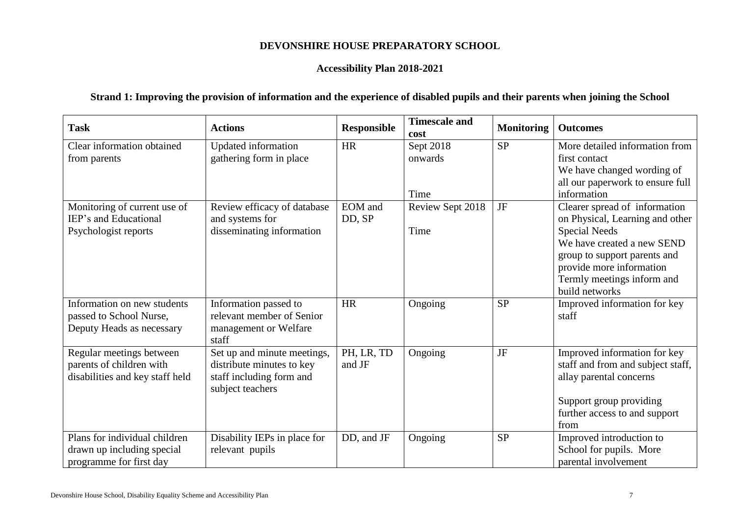# **DEVONSHIRE HOUSE PREPARATORY SCHOOL**

#### **Accessibility Plan 2018-2021**

# **Strand 1: Improving the provision of information and the experience of disabled pupils and their parents when joining the School**

<span id="page-6-1"></span><span id="page-6-0"></span>

| <b>Task</b>                                           | <b>Actions</b>                               | <b>Responsible</b> | <b>Timescale and</b><br>cost | <b>Monitoring</b> | <b>Outcomes</b>                                                |
|-------------------------------------------------------|----------------------------------------------|--------------------|------------------------------|-------------------|----------------------------------------------------------------|
| Clear information obtained                            | Updated information                          | <b>HR</b>          | Sept 2018                    | <b>SP</b>         | More detailed information from                                 |
| from parents                                          | gathering form in place                      |                    | onwards                      |                   | first contact                                                  |
|                                                       |                                              |                    |                              |                   | We have changed wording of<br>all our paperwork to ensure full |
|                                                       |                                              |                    | Time                         |                   | information                                                    |
| Monitoring of current use of<br>IEP's and Educational | Review efficacy of database                  | <b>EOM</b> and     | Review Sept 2018             | $\rm{J}\rm{F}$    | Clearer spread of information                                  |
| Psychologist reports                                  | and systems for<br>disseminating information | DD, SP             | Time                         |                   | on Physical, Learning and other<br><b>Special Needs</b>        |
|                                                       |                                              |                    |                              |                   | We have created a new SEND                                     |
|                                                       |                                              |                    |                              |                   | group to support parents and                                   |
|                                                       |                                              |                    |                              |                   | provide more information                                       |
|                                                       |                                              |                    |                              |                   | Termly meetings inform and<br>build networks                   |
| Information on new students                           | Information passed to                        | <b>HR</b>          | Ongoing                      | <b>SP</b>         | Improved information for key                                   |
| passed to School Nurse,                               | relevant member of Senior                    |                    |                              |                   | staff                                                          |
| Deputy Heads as necessary                             | management or Welfare<br>staff               |                    |                              |                   |                                                                |
| Regular meetings between                              | Set up and minute meetings,                  | PH, LR, TD         | Ongoing                      | JF                | Improved information for key                                   |
| parents of children with                              | distribute minutes to key                    | and JF             |                              |                   | staff and from and subject staff,                              |
| disabilities and key staff held                       | staff including form and<br>subject teachers |                    |                              |                   | allay parental concerns                                        |
|                                                       |                                              |                    |                              |                   | Support group providing                                        |
|                                                       |                                              |                    |                              |                   | further access to and support                                  |
|                                                       |                                              |                    |                              |                   | from                                                           |
| Plans for individual children                         | Disability IEPs in place for                 | DD, and JF         | Ongoing                      | <b>SP</b>         | Improved introduction to                                       |
| drawn up including special<br>programme for first day | relevant pupils                              |                    |                              |                   | School for pupils. More<br>parental involvement                |
|                                                       |                                              |                    |                              |                   |                                                                |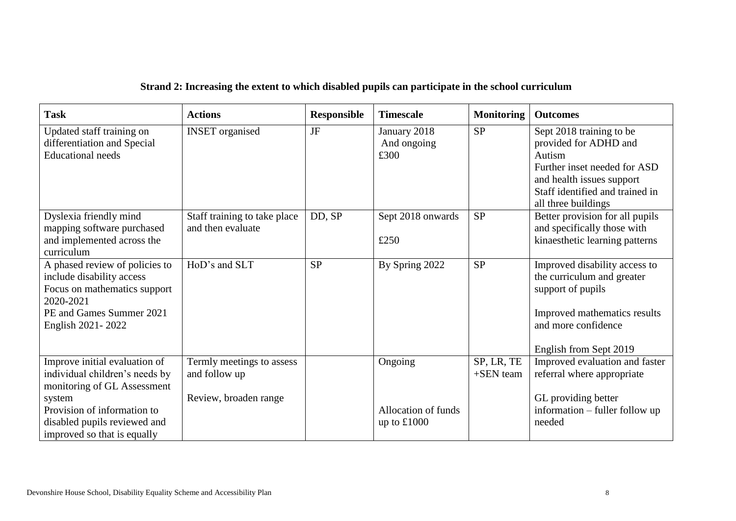# **Strand 2: Increasing the extent to which disabled pupils can participate in the school curriculum**

<span id="page-7-0"></span>

| <b>Task</b>                                                                                                                                               | <b>Actions</b>                                    | <b>Responsible</b> | <b>Timescale</b>                     | <b>Monitoring</b>       | <b>Outcomes</b>                                                                                                                                                                    |
|-----------------------------------------------------------------------------------------------------------------------------------------------------------|---------------------------------------------------|--------------------|--------------------------------------|-------------------------|------------------------------------------------------------------------------------------------------------------------------------------------------------------------------------|
| Updated staff training on<br>differentiation and Special<br><b>Educational</b> needs                                                                      | <b>INSET</b> organised                            | JF                 | January 2018<br>And ongoing<br>£300  | <b>SP</b>               | Sept 2018 training to be<br>provided for ADHD and<br>Autism<br>Further inset needed for ASD<br>and health issues support<br>Staff identified and trained in<br>all three buildings |
| Dyslexia friendly mind<br>mapping software purchased<br>and implemented across the<br>curriculum                                                          | Staff training to take place<br>and then evaluate | DD, SP             | Sept 2018 onwards<br>£250            | <b>SP</b>               | Better provision for all pupils<br>and specifically those with<br>kinaesthetic learning patterns                                                                                   |
| A phased review of policies to<br>include disability access<br>Focus on mathematics support<br>2020-2021<br>PE and Games Summer 2021<br>English 2021-2022 | HoD's and SLT                                     | <b>SP</b>          | By Spring 2022                       | <b>SP</b>               | Improved disability access to<br>the curriculum and greater<br>support of pupils<br>Improved mathematics results<br>and more confidence<br>English from Sept 2019                  |
| Improve initial evaluation of<br>individual children's needs by<br>monitoring of GL Assessment                                                            | Termly meetings to assess<br>and follow up        |                    | Ongoing                              | SP, LR, TE<br>+SEN team | Improved evaluation and faster<br>referral where appropriate                                                                                                                       |
| system<br>Provision of information to<br>disabled pupils reviewed and<br>improved so that is equally                                                      | Review, broaden range                             |                    | Allocation of funds<br>up to $£1000$ |                         | GL providing better<br>information – fuller follow up<br>needed                                                                                                                    |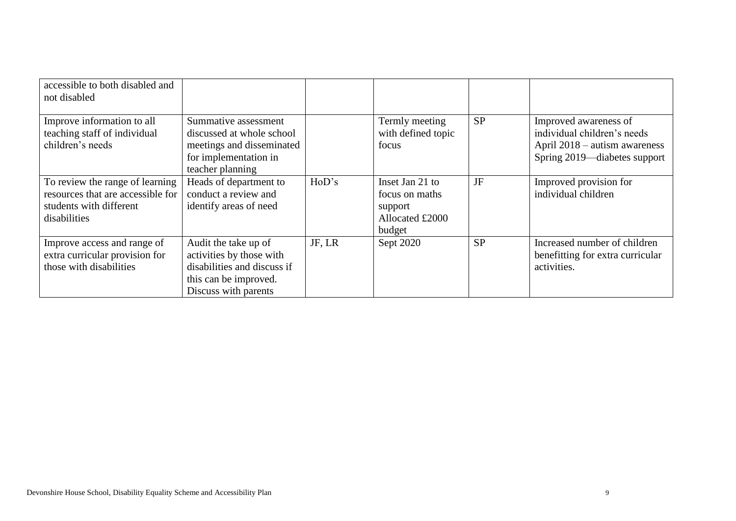| accessible to both disabled and<br>not disabled                                                                 |                                                                                                                                  |        |                                                                           |           |                                                                                                                       |
|-----------------------------------------------------------------------------------------------------------------|----------------------------------------------------------------------------------------------------------------------------------|--------|---------------------------------------------------------------------------|-----------|-----------------------------------------------------------------------------------------------------------------------|
| Improve information to all<br>teaching staff of individual<br>children's needs                                  | Summative assessment<br>discussed at whole school<br>meetings and disseminated<br>for implementation in<br>teacher planning      |        | Termly meeting<br>with defined topic<br>focus                             | <b>SP</b> | Improved awareness of<br>individual children's needs<br>April 2018 – autism awareness<br>Spring 2019—diabetes support |
| To review the range of learning<br>resources that are accessible for<br>students with different<br>disabilities | Heads of department to<br>conduct a review and<br>identify areas of need                                                         | HoD's  | Inset Jan 21 to<br>focus on maths<br>support<br>Allocated £2000<br>budget | JF        | Improved provision for<br>individual children                                                                         |
| Improve access and range of<br>extra curricular provision for<br>those with disabilities                        | Audit the take up of<br>activities by those with<br>disabilities and discuss if<br>this can be improved.<br>Discuss with parents | JF, LR | Sept 2020                                                                 | <b>SP</b> | Increased number of children<br>benefitting for extra curricular<br>activities.                                       |